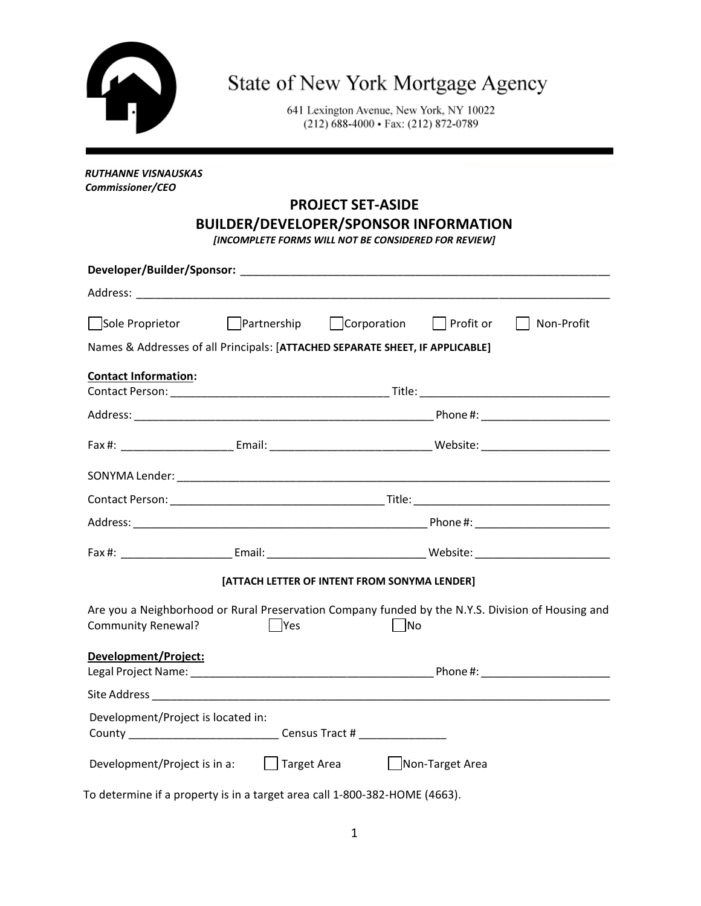

State of New York Mortgage Agency

641 Lexington Avenue, New York, NY 10022 (212) 688-4000 · Fax: (212) 872-0789

 *RUTHANNE VISNAUSKAS Commissioner/CEO*

### **PROJECT SET-ASIDE**

## **BUILDER/DEVELOPER/SPONSOR INFORMATION**

*[INCOMPLETE FORMS WILL NOT BE CONSIDERED FOR REVIEW]*

| Sole Proprietor Partnership Corporation                                                                                        |         |                                              | $\vert$ Profit or | Non-Profit |
|--------------------------------------------------------------------------------------------------------------------------------|---------|----------------------------------------------|-------------------|------------|
| Names & Addresses of all Principals: [ATTACHED SEPARATE SHEET, IF APPLICABLE]                                                  |         |                                              |                   |            |
| <b>Contact Information:</b>                                                                                                    |         |                                              |                   |            |
|                                                                                                                                |         |                                              |                   |            |
|                                                                                                                                |         |                                              |                   |            |
|                                                                                                                                |         |                                              |                   |            |
|                                                                                                                                |         |                                              |                   |            |
|                                                                                                                                |         |                                              |                   |            |
|                                                                                                                                |         |                                              |                   |            |
|                                                                                                                                |         |                                              |                   |            |
|                                                                                                                                |         | [ATTACH LETTER OF INTENT FROM SONYMA LENDER] |                   |            |
| Are you a Neighborhood or Rural Preservation Company funded by the N.Y.S. Division of Housing and<br><b>Community Renewal?</b> | $ $ Yes | $\overline{\phantom{a}}$ No                  |                   |            |
| Development/Project:                                                                                                           |         |                                              |                   |            |
|                                                                                                                                |         |                                              |                   |            |
| Development/Project is located in:                                                                                             |         |                                              |                   |            |
| Development/Project is in a: $\Box$ Target Area $\Box$ Non-Target Area                                                         |         |                                              |                   |            |
| To determine if a property is in a target area call 1-800-382-HOME (4663).                                                     |         |                                              |                   |            |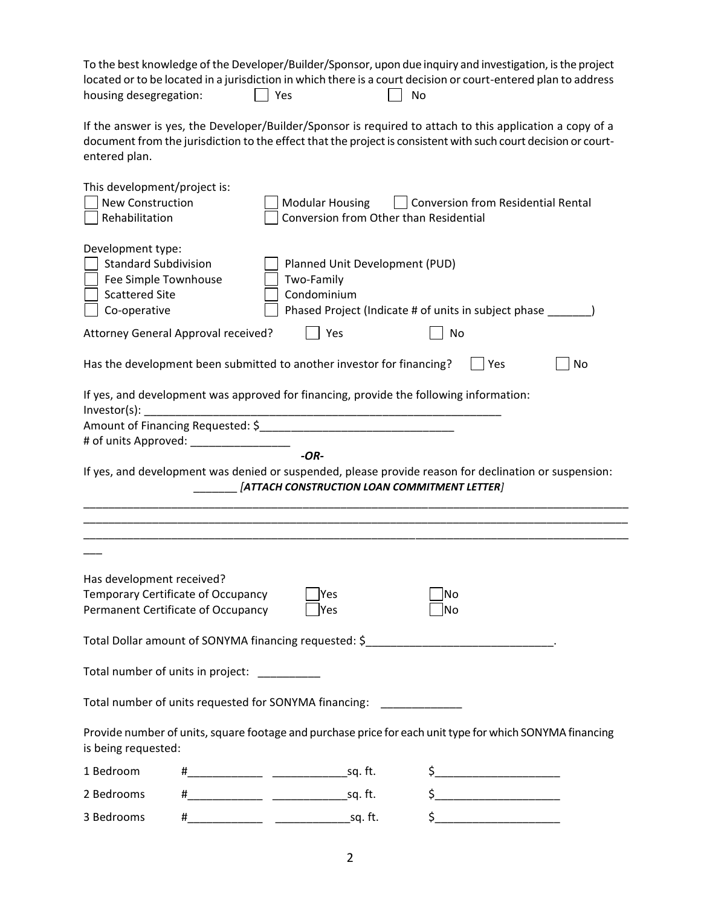To the best knowledge of the Developer/Builder/Sponsor, upon due inquiry and investigation, is the project located or to be located in a jurisdiction in which there is a court decision or court-entered plan to address housing desegregation: No

If the answer is yes, the Developer/Builder/Sponsor is required to attach to this application a copy of a document from the jurisdiction to the effect that the project is consistent with such court decision or courtentered plan.

| This development/project is:<br><b>New Construction</b><br>Rehabilitation                                         |                                     | <b>Modular Housing</b><br>Conversion from Other than Residential                                                                                      | <b>Conversion from Residential Rental</b>                    |    |
|-------------------------------------------------------------------------------------------------------------------|-------------------------------------|-------------------------------------------------------------------------------------------------------------------------------------------------------|--------------------------------------------------------------|----|
| Development type:<br><b>Standard Subdivision</b><br>Fee Simple Townhouse<br><b>Scattered Site</b><br>Co-operative |                                     | Planned Unit Development (PUD)<br>Two-Family<br>Condominium                                                                                           | Phased Project (Indicate # of units in subject phase _______ |    |
|                                                                                                                   | Attorney General Approval received? | Yes                                                                                                                                                   | No                                                           |    |
|                                                                                                                   |                                     | Has the development been submitted to another investor for financing?                                                                                 | Yes                                                          | No |
| Investor(s):                                                                                                      |                                     | If yes, and development was approved for financing, provide the following information:                                                                |                                                              |    |
|                                                                                                                   |                                     |                                                                                                                                                       |                                                              |    |
|                                                                                                                   |                                     | $-OR-$                                                                                                                                                |                                                              |    |
|                                                                                                                   |                                     | If yes, and development was denied or suspended, please provide reason for declination or suspension:<br>[ATTACH CONSTRUCTION LOAN COMMITMENT LETTER] |                                                              |    |
|                                                                                                                   |                                     |                                                                                                                                                       |                                                              |    |
|                                                                                                                   |                                     |                                                                                                                                                       |                                                              |    |
| Has development received?                                                                                         |                                     |                                                                                                                                                       |                                                              |    |
|                                                                                                                   | Temporary Certificate of Occupancy  | Yes                                                                                                                                                   | No                                                           |    |
|                                                                                                                   | Permanent Certificate of Occupancy  | Yes                                                                                                                                                   | No                                                           |    |
|                                                                                                                   |                                     | Total Dollar amount of SONYMA financing requested: \$                                                                                                 |                                                              |    |
|                                                                                                                   | Total number of units in project:   |                                                                                                                                                       |                                                              |    |
|                                                                                                                   |                                     | Total number of units requested for SONYMA financing: __________________________                                                                      |                                                              |    |
| is being requested:                                                                                               |                                     | Provide number of units, square footage and purchase price for each unit type for which SONYMA financing                                              |                                                              |    |
| 1 Bedroom                                                                                                         |                                     |                                                                                                                                                       | $\begin{array}{c}\n5\n\end{array}$                           |    |
| 2 Bedrooms                                                                                                        |                                     |                                                                                                                                                       | $\mathsf{S} \hspace{0.03in} \underbrace{\hspace{0.03in}}$    |    |
| 3 Bedrooms                                                                                                        | #                                   |                                                                                                                                                       | $\sim$                                                       |    |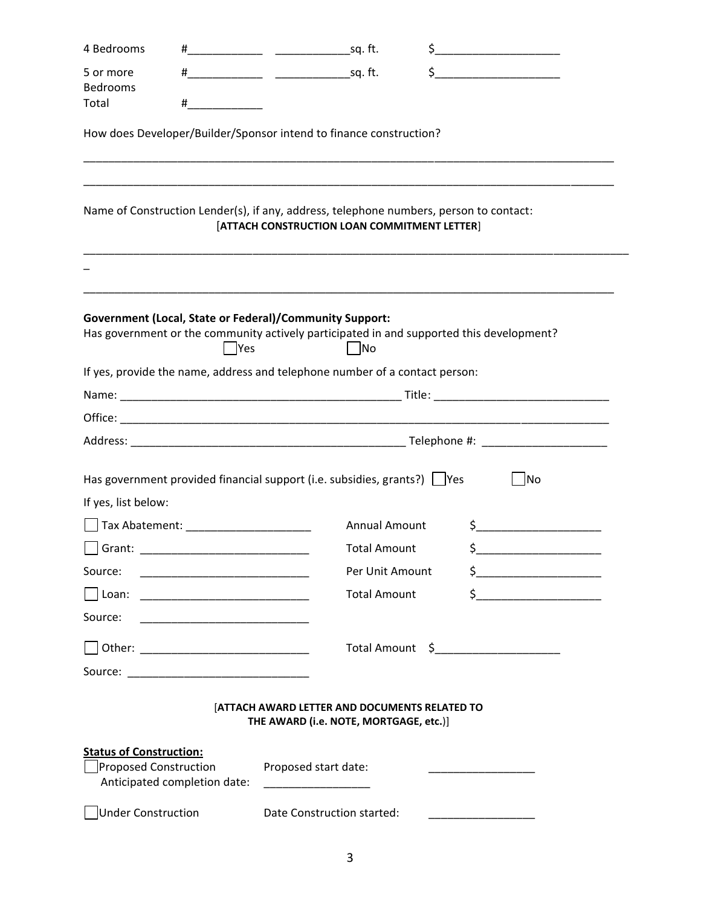| 4 Bedrooms                                                     | #                                     |                                                                                                                                                            | $\begin{picture}(20,10) \put(0,0){\vector(1,0){100}} \put(15,0){\vector(1,0){100}} \put(15,0){\vector(1,0){100}} \put(15,0){\vector(1,0){100}} \put(15,0){\vector(1,0){100}} \put(15,0){\vector(1,0){100}} \put(15,0){\vector(1,0){100}} \put(15,0){\vector(1,0){100}} \put(15,0){\vector(1,0){100}} \put(15,0){\vector(1,0){100}} \put(15,0){\vector(1,0){100}} \$                                                                                                                        |
|----------------------------------------------------------------|---------------------------------------|------------------------------------------------------------------------------------------------------------------------------------------------------------|--------------------------------------------------------------------------------------------------------------------------------------------------------------------------------------------------------------------------------------------------------------------------------------------------------------------------------------------------------------------------------------------------------------------------------------------------------------------------------------------|
| 5 or more                                                      | #                                     |                                                                                                                                                            | $\begin{array}{c}\n5\n\end{array}$                                                                                                                                                                                                                                                                                                                                                                                                                                                         |
| Bedrooms<br>Total                                              | #                                     |                                                                                                                                                            |                                                                                                                                                                                                                                                                                                                                                                                                                                                                                            |
|                                                                |                                       |                                                                                                                                                            |                                                                                                                                                                                                                                                                                                                                                                                                                                                                                            |
|                                                                |                                       | How does Developer/Builder/Sponsor intend to finance construction?                                                                                         |                                                                                                                                                                                                                                                                                                                                                                                                                                                                                            |
|                                                                |                                       |                                                                                                                                                            |                                                                                                                                                                                                                                                                                                                                                                                                                                                                                            |
|                                                                |                                       |                                                                                                                                                            |                                                                                                                                                                                                                                                                                                                                                                                                                                                                                            |
|                                                                |                                       | Name of Construction Lender(s), if any, address, telephone numbers, person to contact:<br>[ATTACH CONSTRUCTION LOAN COMMITMENT LETTER]                     |                                                                                                                                                                                                                                                                                                                                                                                                                                                                                            |
|                                                                |                                       |                                                                                                                                                            |                                                                                                                                                                                                                                                                                                                                                                                                                                                                                            |
|                                                                |                                       |                                                                                                                                                            |                                                                                                                                                                                                                                                                                                                                                                                                                                                                                            |
|                                                                |                                       |                                                                                                                                                            |                                                                                                                                                                                                                                                                                                                                                                                                                                                                                            |
|                                                                |                                       | <b>Government (Local, State or Federal)/Community Support:</b><br>Has government or the community actively participated in and supported this development? |                                                                                                                                                                                                                                                                                                                                                                                                                                                                                            |
|                                                                | Yes                                   | No                                                                                                                                                         |                                                                                                                                                                                                                                                                                                                                                                                                                                                                                            |
|                                                                |                                       | If yes, provide the name, address and telephone number of a contact person:                                                                                |                                                                                                                                                                                                                                                                                                                                                                                                                                                                                            |
|                                                                |                                       |                                                                                                                                                            |                                                                                                                                                                                                                                                                                                                                                                                                                                                                                            |
|                                                                |                                       |                                                                                                                                                            |                                                                                                                                                                                                                                                                                                                                                                                                                                                                                            |
|                                                                |                                       |                                                                                                                                                            |                                                                                                                                                                                                                                                                                                                                                                                                                                                                                            |
|                                                                |                                       |                                                                                                                                                            |                                                                                                                                                                                                                                                                                                                                                                                                                                                                                            |
|                                                                |                                       | Has government provided financial support (i.e. subsidies, grants?) $\Box$ Yes                                                                             | No                                                                                                                                                                                                                                                                                                                                                                                                                                                                                         |
| If yes, list below:                                            |                                       |                                                                                                                                                            |                                                                                                                                                                                                                                                                                                                                                                                                                                                                                            |
|                                                                | Tax Abatement: ______________________ | <b>Annual Amount</b>                                                                                                                                       | $\sharp$ $\Box$                                                                                                                                                                                                                                                                                                                                                                                                                                                                            |
| Grant:                                                         |                                       | <b>Total Amount</b>                                                                                                                                        | \$                                                                                                                                                                                                                                                                                                                                                                                                                                                                                         |
| Source:                                                        |                                       | Per Unit Amount                                                                                                                                            | $\begin{array}{ccccccccccccc} \texttt{S} & \texttt{p} & \texttt{p} & \texttt{p} & \texttt{p} & \texttt{p} & \texttt{p} & \texttt{p} & \texttt{p} & \texttt{p} & \texttt{p} & \texttt{p} & \texttt{p} & \texttt{p} & \texttt{p} & \texttt{p} & \texttt{p} & \texttt{p} & \texttt{p} & \texttt{p} & \texttt{p} & \texttt{p} & \texttt{p} & \texttt{p} & \texttt{p} & \texttt{p} & \texttt{p} & \texttt{p} & \texttt{p} & \texttt{p} &$                                                       |
|                                                                |                                       | <b>Total Amount</b>                                                                                                                                        | $\begin{array}{c} \n \uparrow \text{S} \quad \text{S} \quad \text{S} \quad \text{S} \quad \text{S} \quad \text{S} \quad \text{S} \quad \text{S} \quad \text{S} \quad \text{S} \quad \text{S} \quad \text{S} \quad \text{S} \quad \text{S} \quad \text{S} \quad \text{S} \quad \text{S} \quad \text{S} \quad \text{S} \quad \text{S} \quad \text{S} \quad \text{S} \quad \text{S} \quad \text{S} \quad \text{S} \quad \text{S} \quad \text{S} \quad \text{S} \quad \text{S} \quad \text{S}$ |
| Source:                                                        |                                       |                                                                                                                                                            |                                                                                                                                                                                                                                                                                                                                                                                                                                                                                            |
|                                                                |                                       |                                                                                                                                                            | Total Amount \$______________________                                                                                                                                                                                                                                                                                                                                                                                                                                                      |
|                                                                |                                       |                                                                                                                                                            |                                                                                                                                                                                                                                                                                                                                                                                                                                                                                            |
|                                                                |                                       |                                                                                                                                                            |                                                                                                                                                                                                                                                                                                                                                                                                                                                                                            |
|                                                                |                                       | [ATTACH AWARD LETTER AND DOCUMENTS RELATED TO<br>THE AWARD (i.e. NOTE, MORTGAGE, etc.)]                                                                    |                                                                                                                                                                                                                                                                                                                                                                                                                                                                                            |
|                                                                |                                       |                                                                                                                                                            |                                                                                                                                                                                                                                                                                                                                                                                                                                                                                            |
| <b>Status of Construction:</b><br><b>Proposed Construction</b> | Anticipated completion date:          | Proposed start date:                                                                                                                                       |                                                                                                                                                                                                                                                                                                                                                                                                                                                                                            |
| <b>Under Construction</b>                                      |                                       | Date Construction started:                                                                                                                                 |                                                                                                                                                                                                                                                                                                                                                                                                                                                                                            |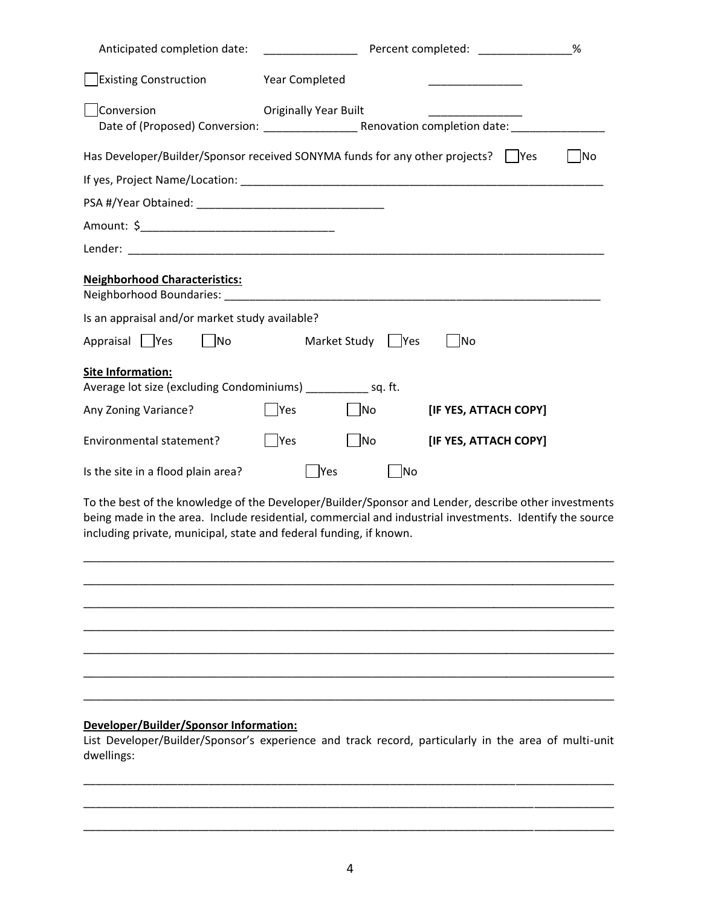| Anticipated completion date:                                                                                                                                                                                                                                                          | %                            |                       |    |  |
|---------------------------------------------------------------------------------------------------------------------------------------------------------------------------------------------------------------------------------------------------------------------------------------|------------------------------|-----------------------|----|--|
| <b>Existing Construction</b>                                                                                                                                                                                                                                                          | Year Completed               |                       |    |  |
| Conversion                                                                                                                                                                                                                                                                            | <b>Originally Year Built</b> |                       |    |  |
| Has Developer/Builder/Sponsor received SONYMA funds for any other projects?    Yes                                                                                                                                                                                                    |                              |                       | No |  |
|                                                                                                                                                                                                                                                                                       |                              |                       |    |  |
|                                                                                                                                                                                                                                                                                       |                              |                       |    |  |
|                                                                                                                                                                                                                                                                                       |                              |                       |    |  |
|                                                                                                                                                                                                                                                                                       |                              |                       |    |  |
| <b>Neighborhood Characteristics:</b>                                                                                                                                                                                                                                                  |                              |                       |    |  |
| Is an appraisal and/or market study available?                                                                                                                                                                                                                                        |                              |                       |    |  |
| No<br>Appraisal   Yes                                                                                                                                                                                                                                                                 | Market Study<br>$ $ Yes      | No                    |    |  |
| Site Information:<br>Average lot size (excluding Condominiums) _____________ sq. ft.                                                                                                                                                                                                  |                              |                       |    |  |
| Any Zoning Variance?                                                                                                                                                                                                                                                                  | No<br><b>Yes</b>             | [IF YES, ATTACH COPY] |    |  |
| Environmental statement?                                                                                                                                                                                                                                                              | No<br>Yes                    | [IF YES, ATTACH COPY] |    |  |
| Is the site in a flood plain area?                                                                                                                                                                                                                                                    | Yes<br> No                   |                       |    |  |
| To the best of the knowledge of the Developer/Builder/Sponsor and Lender, describe other investments<br>being made in the area. Include residential, commercial and industrial investments. Identify the source<br>including private, municipal, state and federal funding, if known. |                              |                       |    |  |
|                                                                                                                                                                                                                                                                                       |                              |                       |    |  |
|                                                                                                                                                                                                                                                                                       |                              |                       |    |  |
|                                                                                                                                                                                                                                                                                       |                              |                       |    |  |
|                                                                                                                                                                                                                                                                                       |                              |                       |    |  |
|                                                                                                                                                                                                                                                                                       |                              |                       |    |  |
|                                                                                                                                                                                                                                                                                       |                              |                       |    |  |

# **Developer/Builder/Sponsor Information:**

List Developer/Builder/Sponsor's experience and track record, particularly in the area of multi-unit dwellings:

\_\_\_\_\_\_\_\_\_\_\_\_\_\_\_\_\_\_\_\_\_\_\_\_\_\_\_\_\_\_\_\_\_\_\_\_\_\_\_\_\_\_\_\_\_\_\_\_\_\_\_\_\_\_\_\_\_\_\_\_\_\_\_\_\_\_\_\_\_\_\_\_\_\_\_\_\_\_\_\_\_\_\_\_\_

\_\_\_\_\_\_\_\_\_\_\_\_\_\_\_\_\_\_\_\_\_\_\_\_\_\_\_\_\_\_\_\_\_\_\_\_\_\_\_\_\_\_\_\_\_\_\_\_\_\_\_\_\_\_\_\_\_\_\_\_\_\_\_\_\_\_\_\_\_\_\_\_\_\_\_\_\_\_\_\_\_\_\_\_\_

\_\_\_\_\_\_\_\_\_\_\_\_\_\_\_\_\_\_\_\_\_\_\_\_\_\_\_\_\_\_\_\_\_\_\_\_\_\_\_\_\_\_\_\_\_\_\_\_\_\_\_\_\_\_\_\_\_\_\_\_\_\_\_\_\_\_\_\_\_\_\_\_\_\_\_\_\_\_\_\_\_\_\_\_\_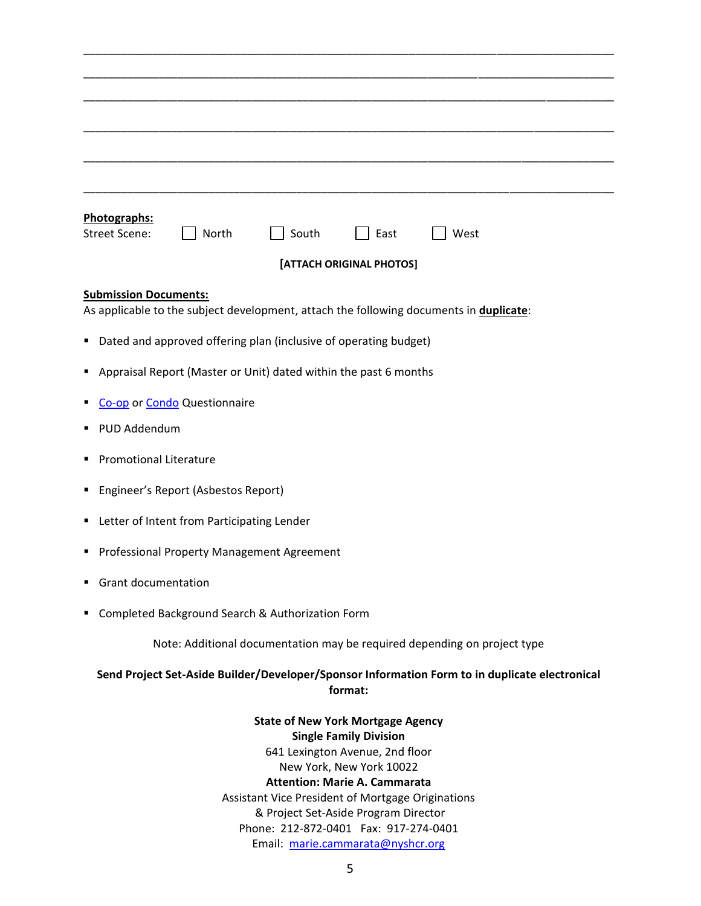| Photographs:                                                                                              |
|-----------------------------------------------------------------------------------------------------------|
| <b>Street Scene:</b><br>North<br>South<br>East<br>West                                                    |
| [ATTACH ORIGINAL PHOTOS]                                                                                  |
| <b>Submission Documents:</b>                                                                              |
| As applicable to the subject development, attach the following documents in <i>duplicate</i> :            |
| Dated and approved offering plan (inclusive of operating budget)<br>п                                     |
| Appraisal Report (Master or Unit) dated within the past 6 months<br>п                                     |
| Co-op or Condo Questionnaire                                                                              |
| PUD Addendum                                                                                              |
| <b>Promotional Literature</b><br>٠                                                                        |
|                                                                                                           |
| Engineer's Report (Asbestos Report)<br>п                                                                  |
| Letter of Intent from Participating Lender<br>п                                                           |
| Professional Property Management Agreement<br>п                                                           |
| <b>Grant documentation</b>                                                                                |
| Completed Background Search & Authorization Form<br>٠                                                     |
| Note: Additional documentation may be required depending on project type                                  |
| Send Project Set-Aside Builder/Developer/Sponsor Information Form to in duplicate electronical<br>format: |
| <b>State of New York Mortgage Agency</b>                                                                  |
| <b>Single Family Division</b>                                                                             |
| 641 Lexington Avenue, 2nd floor                                                                           |
| New York, New York 10022<br><b>Attention: Marie A. Cammarata</b>                                          |
| Assistant Vice President of Mortgage Originations                                                         |
| & Project Set-Aside Program Director                                                                      |
| Phone: 212-872-0401 Fax: 917-274-0401                                                                     |

5

Email: marie.cammarata@nyshcr.org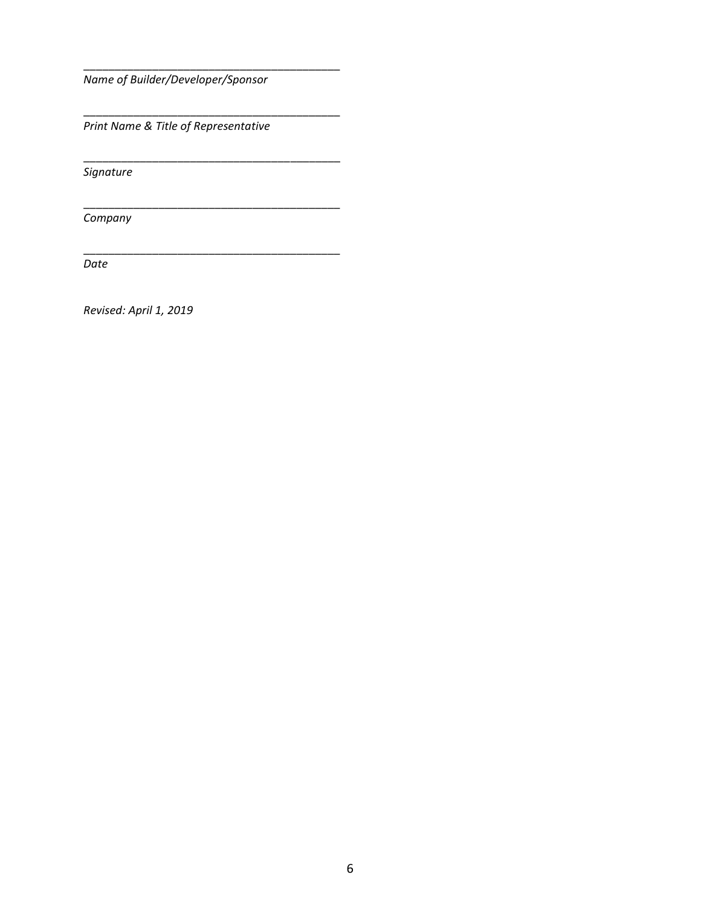*Name of Builder/Developer/Sponsor*

\_\_\_\_\_\_\_\_\_\_\_\_\_\_\_\_\_\_\_\_\_\_\_\_\_\_\_\_\_\_\_\_\_\_\_\_\_\_\_\_\_

\_\_\_\_\_\_\_\_\_\_\_\_\_\_\_\_\_\_\_\_\_\_\_\_\_\_\_\_\_\_\_\_\_\_\_\_\_\_\_\_\_

\_\_\_\_\_\_\_\_\_\_\_\_\_\_\_\_\_\_\_\_\_\_\_\_\_\_\_\_\_\_\_\_\_\_\_\_\_\_\_\_\_

\_\_\_\_\_\_\_\_\_\_\_\_\_\_\_\_\_\_\_\_\_\_\_\_\_\_\_\_\_\_\_\_\_\_\_\_\_\_\_\_\_

\_\_\_\_\_\_\_\_\_\_\_\_\_\_\_\_\_\_\_\_\_\_\_\_\_\_\_\_\_\_\_\_\_\_\_\_\_\_\_\_\_

*Print Name & Title of Representative*

*Signature* 

*Company*

*Date*

*Revised: April 1, 2019*